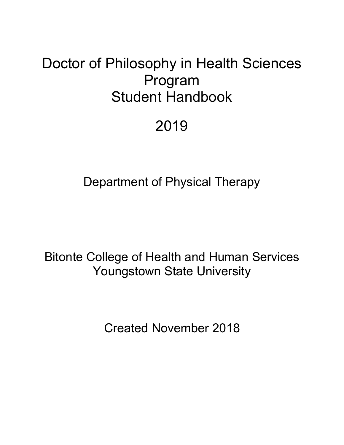# Doctor of Philosophy in Health Sciences Program Student Handbook

# 2019

Department of Physical Therapy

Bitonte College of Health and Human Services Youngstown State University

Created November 2018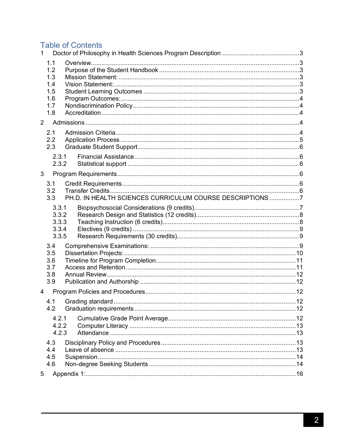# **Table of Contents**

| $\mathbf{1}$   |                                                      |  |                                                           |  |  |
|----------------|------------------------------------------------------|--|-----------------------------------------------------------|--|--|
|                | 1.1<br>1.2<br>1.3<br>1.4<br>1.5<br>1.6<br>1.7<br>1.8 |  |                                                           |  |  |
| $\overline{2}$ |                                                      |  |                                                           |  |  |
|                | 2.1<br>2.2<br>2.3                                    |  |                                                           |  |  |
|                | 2.3.1<br>2.3.2                                       |  |                                                           |  |  |
| 3              |                                                      |  |                                                           |  |  |
|                | 3.1<br>3.2<br>3.3                                    |  | PH.D. IN HEALTH SCIENCES CURRICULUM COURSE DESCRIPTIONS 7 |  |  |
|                | 3.3.1<br>3.3.2<br>3.3.3<br>3.3.4<br>3.3.5            |  |                                                           |  |  |
|                | 3.4<br>3.5<br>3.6<br>3.7<br>3.8<br>3.9               |  |                                                           |  |  |
| 4              |                                                      |  |                                                           |  |  |
|                | 4.2                                                  |  |                                                           |  |  |
|                | 4.2.1<br>4.2.2<br>4.2.3                              |  |                                                           |  |  |
|                | 4.3<br>4.4<br>4.5<br>4.6                             |  |                                                           |  |  |
| 5              |                                                      |  |                                                           |  |  |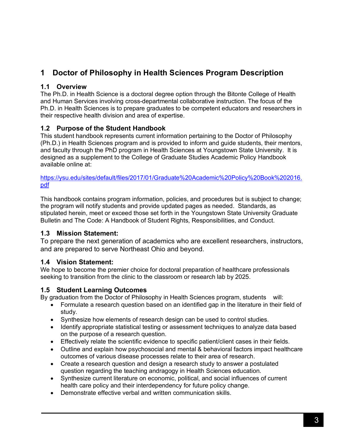# **1 Doctor of Philosophy in Health Sciences Program Description**

# **1.1 Overview**

The Ph.D. in Health Science is a doctoral degree option through the Bitonte College of Health and Human Services involving cross-departmental collaborative instruction. The focus of the Ph.D. in Health Sciences is to prepare graduates to be competent educators and researchers in their respective health division and area of expertise.

# **1.2 Purpose of the Student Handbook**

This student handbook represents current information pertaining to the Doctor of Philosophy (Ph.D.) in Health Sciences program and is provided to inform and guide students, their mentors, and faculty through the PhD program in Health Sciences at Youngstown State University. It is designed as a supplement to the College of Graduate Studies Academic Policy Handbook available online at:

https://ysu.edu/sites/default/files/2017/01/Graduate%20Academic%20Policy%20Book%202016. pdf

This handbook contains program information, policies, and procedures but is subject to change; the program will notify students and provide updated pages as needed. Standards, as stipulated herein, meet or exceed those set forth in the Youngstown State University Graduate Bulletin and The Code: A Handbook of Student Rights, Responsibilities, and Conduct.

# **1.3 Mission Statement:**

To prepare the next generation of academics who are excellent researchers, instructors, and are prepared to serve Northeast Ohio and beyond.

# **1.4 Vision Statement:**

We hope to become the premier choice for doctoral preparation of healthcare professionals seeking to transition from the clinic to the classroom or research lab by 2025.

# **1.5 Student Learning Outcomes**

By graduation from the Doctor of Philosophy in Health Sciences program, students will:

- Formulate a research question based on an identified gap in the literature in their field of study.
- Synthesize how elements of research design can be used to control studies.
- Identify appropriate statistical testing or assessment techniques to analyze data based on the purpose of a research question.
- Effectively relate the scientific evidence to specific patient/client cases in their fields.
- Outline and explain how psychosocial and mental & behavioral factors impact healthcare outcomes of various disease processes relate to their area of research.
- Create a research question and design a research study to answer a postulated question regarding the teaching andragogy in Health Sciences education.
- Synthesize current literature on economic, political, and social influences of current health care policy and their interdependency for future policy change.
- Demonstrate effective verbal and written communication skills.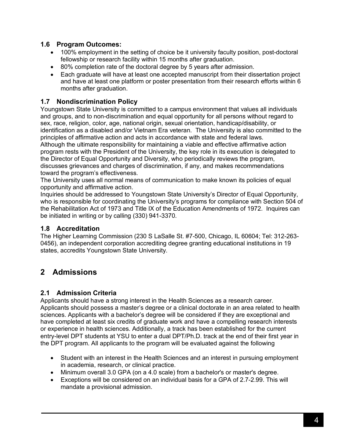### **1.6 Program Outcomes:**

- 100% employment in the setting of choice be it university faculty position, post-doctoral fellowship or research facility within 15 months after graduation.
- 80% completion rate of the doctoral degree by 5 years after admission.
- Each graduate will have at least one accepted manuscript from their dissertation project and have at least one platform or poster presentation from their research efforts within 6 months after graduation.

#### **1.7 Nondiscrimination Policy**

Youngstown State University is committed to a campus environment that values all individuals and groups, and to non-discrimination and equal opportunity for all persons without regard to sex, race, religion, color, age, national origin, sexual orientation, handicap/disability, or identification as a disabled and/or Vietnam Era veteran. The University is also committed to the principles of affirmative action and acts in accordance with state and federal laws. Although the ultimate responsibility for maintaining a viable and effective affirmative action program rests with the President of the University, the key role in its execution is delegated to the Director of Equal Opportunity and Diversity, who periodically reviews the program, discusses grievances and charges of discrimination, if any, and makes recommendations toward the program's effectiveness.

The University uses all normal means of communication to make known its policies of equal opportunity and affirmative action.

Inquiries should be addressed to Youngstown State University's Director of Equal Opportunity, who is responsible for coordinating the University's programs for compliance with Section 504 of the Rehabilitation Act of 1973 and Title IX of the Education Amendments of 1972. Inquires can be initiated in writing or by calling (330) 941-3370.

#### **1.8 Accreditation**

The Higher Learning Commission (230 S LaSalle St. #7-500, Chicago, IL 60604; Tel: 312-263- 0456), an independent corporation accrediting degree granting educational institutions in 19 states, accredits Youngstown State University.

# **2 Admissions**

# **2.1 Admission Criteria**

Applicants should have a strong interest in the Health Sciences as a research career. Applicants should possess a master's degree or a clinical doctorate in an area related to health sciences. Applicants with a bachelor's degree will be considered if they are exceptional and have completed at least six credits of graduate work and have a compelling research interests or experience in health sciences. Additionally, a track has been established for the current entry-level DPT students at YSU to enter a dual DPT/Ph.D. track at the end of their first year in the DPT program. All applicants to the program will be evaluated against the following

- Student with an interest in the Health Sciences and an interest in pursuing employment in academia, research, or clinical practice.
- Minimum overall 3.0 GPA (on a 4.0 scale) from a bachelor's or master's degree.
- Exceptions will be considered on an individual basis for a GPA of 2.7-2.99. This will mandate a provisional admission.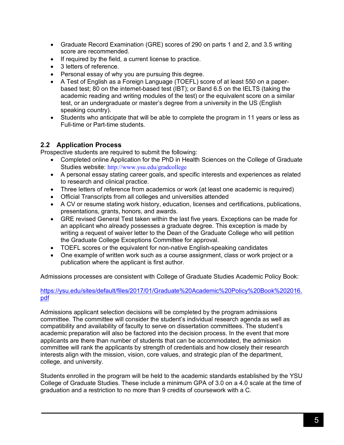- Graduate Record Examination (GRE) scores of 290 on parts 1 and 2, and 3.5 writing score are recommended.
- If required by the field, a current license to practice.
- 3 letters of reference.
- Personal essay of why you are pursuing this degree.
- A Test of English as a Foreign Language (TOEFL) score of at least 550 on a paperbased test; 80 on the internet-based test (IBT); or Band 6.5 on the IELTS (taking the academic reading and writing modules of the test) or the equivalent score on a similar test, or an undergraduate or master's degree from a university in the US (English speaking country).
- Students who anticipate that will be able to complete the program in 11 years or less as Full-time or Part-time students.

#### **2.2 Application Process**

Prospective students are required to submit the following:

- Completed online Application for the PhD in Health Sciences on the College of Graduate Studies website: http://www.ysu.edu/gradcollege
- A personal essay stating career goals, and specific interests and experiences as related to research and clinical practice.
- Three letters of reference from academics or work (at least one academic is required)
- Official Transcripts from all colleges and universities attended
- A CV or resume stating work history, education, licenses and certifications, publications, presentations, grants, honors, and awards.
- GRE revised General Test taken within the last five years. Exceptions can be made for an applicant who already possesses a graduate degree. This exception is made by writing a request of waiver letter to the Dean of the Graduate College who will petition the Graduate College Exceptions Committee for approval.
- TOEFL scores or the equivalent for non-native English-speaking candidates
- One example of written work such as a course assignment, class or work project or a publication where the applicant is first author.

Admissions processes are consistent with College of Graduate Studies Academic Policy Book:

#### https://ysu.edu/sites/default/files/2017/01/Graduate%20Academic%20Policy%20Book%202016. pdf

Admissions applicant selection decisions will be completed by the program admissions committee. The committee will consider the student's individual research agenda as well as compatibility and availability of faculty to serve on dissertation committees. The student's academic preparation will also be factored into the decision process. In the event that more applicants are there than number of students that can be accommodated, the admission committee will rank the applicants by strength of credentials and how closely their research interests align with the mission, vision, core values, and strategic plan of the department, college, and university.

Students enrolled in the program will be held to the academic standards established by the YSU College of Graduate Studies. These include a minimum GPA of 3.0 on a 4.0 scale at the time of graduation and a restriction to no more than 9 credits of coursework with a C.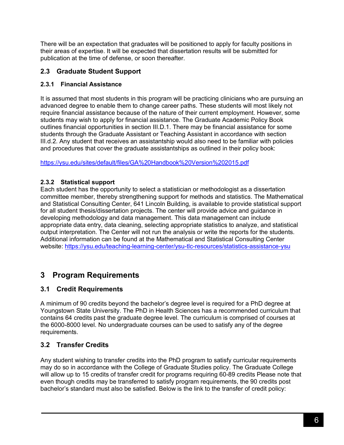There will be an expectation that graduates will be positioned to apply for faculty positions in their areas of expertise. It will be expected that dissertation results will be submitted for publication at the time of defense, or soon thereafter.

# **2.3 Graduate Student Support**

#### **2.3.1 Financial Assistance**

It is assumed that most students in this program will be practicing clinicians who are pursuing an advanced degree to enable them to change career paths. These students will most likely not require financial assistance because of the nature of their current employment. However, some students may wish to apply for financial assistance. The Graduate Academic Policy Book outlines financial opportunities in section III.D.1. There may be financial assistance for some students through the Graduate Assistant or Teaching Assistant in accordance with section III.d.2. Any student that receives an assistantship would also need to be familiar with policies and procedures that cover the graduate assistantships as outlined in their policy book:

https://ysu.edu/sites/default/files/GA%20Handbook%20Version%202015.pdf

# **2.3.2 Statistical support**

Each student has the opportunity to select a statistician or methodologist as a dissertation committee member, thereby strengthening support for methods and statistics. The Mathematical and Statistical Consulting Center, 641 Lincoln Building, is available to provide statistical support for all student thesis/dissertation projects. The center will provide advice and guidance in developing methodology and data management. This data management can include appropriate data entry, data cleaning, selecting appropriate statistics to analyze, and statistical output interpretation. The Center will not run the analysis or write the reports for the students. Additional information can be found at the Mathematical and Statistical Consulting Center website: https://ysu.edu/teaching-learning-center/ysu-tlc-resources/statistics-assistance-ysu

# **3 Program Requirements**

# **3.1 Credit Requirements**

A minimum of 90 credits beyond the bachelor's degree level is required for a PhD degree at Youngstown State University. The PhD in Health Sciences has a recommended curriculum that contains 64 credits past the graduate degree level. The curriculum is comprised of courses at the 6000-8000 level. No undergraduate courses can be used to satisfy any of the degree requirements.

# **3.2 Transfer Credits**

Any student wishing to transfer credits into the PhD program to satisfy curricular requirements may do so in accordance with the College of Graduate Studies policy. The Graduate College will allow up to 15 credits of transfer credit for programs requiring 60-89 credits Please note that even though credits may be transferred to satisfy program requirements, the 90 credits post bachelor's standard must also be satisfied. Below is the link to the transfer of credit policy: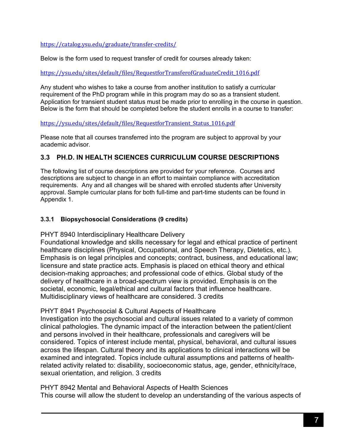https://catalog.ysu.edu/graduate/transfer-credits/

Below is the form used to request transfer of credit for courses already taken:

#### https://ysu.edu/sites/default/files/RequestforTransferofGraduateCredit\_1016.pdf

Any student who wishes to take a course from another institution to satisfy a curricular requirement of the PhD program while in this program may do so as a transient student. Application for transient student status must be made prior to enrolling in the course in question. Below is the form that should be completed before the student enrolls in a course to transfer:

#### https://ysu.edu/sites/default/files/RequestforTransient\_Status\_1016.pdf

Please note that all courses transferred into the program are subject to approval by your academic advisor.

# **3.3 PH.D. IN HEALTH SCIENCES CURRICULUM COURSE DESCRIPTIONS**

The following list of course descriptions are provided for your reference. Courses and descriptions are subject to change in an effort to maintain compliance with accreditation requirements. Any and all changes will be shared with enrolled students after University approval. Sample curricular plans for both full-time and part-time students can be found in Appendix 1.

#### **3.3.1 Biopsychosocial Considerations (9 credits)**

PHYT 8940 Interdisciplinary Healthcare Delivery

Foundational knowledge and skills necessary for legal and ethical practice of pertinent healthcare disciplines (Physical, Occupational, and Speech Therapy, Dietetics, etc.). Emphasis is on legal principles and concepts; contract, business, and educational law; licensure and state practice acts. Emphasis is placed on ethical theory and ethical decision-making approaches; and professional code of ethics. Global study of the delivery of healthcare in a broad-spectrum view is provided. Emphasis is on the societal, economic, legal/ethical and cultural factors that influence healthcare. Multidisciplinary views of healthcare are considered. 3 credits

#### PHYT 8941 Psychosocial & Cultural Aspects of Healthcare

Investigation into the psychosocial and cultural issues related to a variety of common clinical pathologies. The dynamic impact of the interaction between the patient/client and persons involved in their healthcare, professionals and caregivers will be considered. Topics of interest include mental, physical, behavioral, and cultural issues across the lifespan. Cultural theory and its applications to clinical interactions will be examined and integrated. Topics include cultural assumptions and patterns of healthrelated activity related to: disability, socioeconomic status, age, gender, ethnicity/race, sexual orientation, and religion. 3 credits

PHYT 8942 Mental and Behavioral Aspects of Health Sciences This course will allow the student to develop an understanding of the various aspects of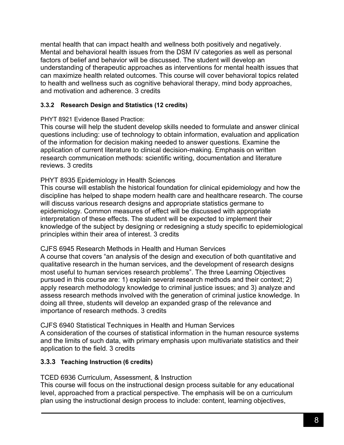mental health that can impact health and wellness both positively and negatively. Mental and behavioral health issues from the DSM IV categories as well as personal factors of belief and behavior will be discussed. The student will develop an understanding of therapeutic approaches as interventions for mental health issues that can maximize health related outcomes. This course will cover behavioral topics related to health and wellness such as cognitive behavioral therapy, mind body approaches, and motivation and adherence. 3 credits

# **3.3.2 Research Design and Statistics (12 credits)**

#### PHYT 8921 Evidence Based Practice:

This course will help the student develop skills needed to formulate and answer clinical questions including: use of technology to obtain information, evaluation and application of the information for decision making needed to answer questions. Examine the application of current literature to clinical decision-making. Emphasis on written research communication methods: scientific writing, documentation and literature reviews. 3 credits

# PHYT 8935 Epidemiology in Health Sciences

This course will establish the historical foundation for clinical epidemiology and how the discipline has helped to shape modern health care and healthcare research. The course will discuss various research designs and appropriate statistics germane to epidemiology. Common measures of effect will be discussed with appropriate interpretation of these effects. The student will be expected to implement their knowledge of the subject by designing or redesigning a study specific to epidemiological principles within their area of interest. 3 credits

#### CJFS 6945 Research Methods in Health and Human Services

A course that covers "an analysis of the design and execution of both quantitative and qualitative research in the human services, and the development of research designs most useful to human services research problems". The three Learning Objectives pursued in this course are: 1) explain several research methods and their context; 2) apply research methodology knowledge to criminal justice issues; and 3) analyze and assess research methods involved with the generation of criminal justice knowledge. In doing all three, students will develop an expanded grasp of the relevance and importance of research methods. 3 credits

CJFS 6940 Statistical Techniques in Health and Human Services A consideration of the courses of statistical information in the human resource systems and the limits of such data, with primary emphasis upon multivariate statistics and their application to the field. 3 credits

# **3.3.3 Teaching Instruction (6 credits)**

# TCED 6936 Curriculum, Assessment, & Instruction

This course will focus on the instructional design process suitable for any educational level, approached from a practical perspective. The emphasis will be on a curriculum plan using the instructional design process to include: content, learning objectives,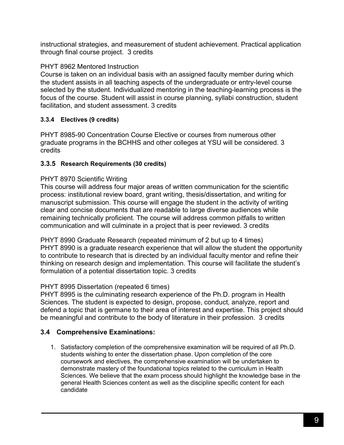instructional strategies, and measurement of student achievement. Practical application through final course project. 3 credits

# PHYT 8962 Mentored Instruction

Course is taken on an individual basis with an assigned faculty member during which the student assists in all teaching aspects of the undergraduate or entry-level course selected by the student. Individualized mentoring in the teaching-learning process is the focus of the course. Student will assist in course planning, syllabi construction, student facilitation, and student assessment. 3 credits

# **3.3.4 Electives (9 credits)**

PHYT 8985-90 Concentration Course Elective or courses from numerous other graduate programs in the BCHHS and other colleges at YSU will be considered. 3 credits

# **3.3.5 Research Requirements (30 credits)**

# PHYT 8970 Scientific Writing

This course will address four major areas of written communication for the scientific process: institutional review board, grant writing, thesis/dissertation, and writing for manuscript submission. This course will engage the student in the activity of writing clear and concise documents that are readable to large diverse audiences while remaining technically proficient. The course will address common pitfalls to written communication and will culminate in a project that is peer reviewed. 3 credits

PHYT 8990 Graduate Research (repeated minimum of 2 but up to 4 times) PHYT 8990 is a graduate research experience that will allow the student the opportunity to contribute to research that is directed by an individual faculty mentor and refine their thinking on research design and implementation. This course will facilitate the student's formulation of a potential dissertation topic. 3 credits

# PHYT 8995 Dissertation (repeated 6 times)

PHYT 8995 is the culminating research experience of the Ph.D. program in Health Sciences. The student is expected to design, propose, conduct, analyze, report and defend a topic that is germane to their area of interest and expertise. This project should be meaningful and contribute to the body of literature in their profession. 3 credits

# **3.4 Comprehensive Examinations:**

1. Satisfactory completion of the comprehensive examination will be required of all Ph.D. students wishing to enter the dissertation phase. Upon completion of the core coursework and electives, the comprehensive examination will be undertaken to demonstrate mastery of the foundational topics related to the curriculum in Health Sciences. We believe that the exam process should highlight the knowledge base in the general Health Sciences content as well as the discipline specific content for each candidate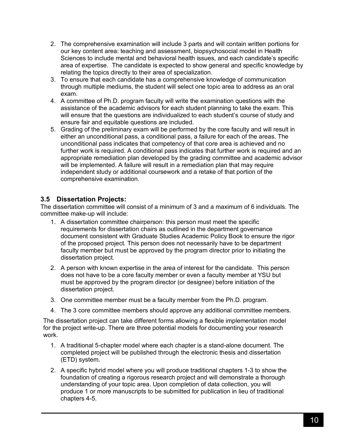- 2. The comprehensive examination will include 3 parts and will contain written portions for our key content area: teaching and assessment, biopsychosocial model in Health Sciences to include mental and behavioral health issues, and each candidate's specific area of expertise. The candidate is expected to show general and specific knowledge by relating the topics directly to their area of specialization.
- 3. To ensure that each candidate has a comprehensive knowledge of communication through multiple mediums, the student will select one topic area to address as an oral exam.
- 4. A committee of Ph.D. program faculty will write the examination questions with the assistance of the academic advisors for each student planning to take the exam. This will ensure that the questions are individualized to each student's course of study and ensure fair and equitable questions are included.
- 5. Grading of the preliminary exam will be performed by the core faculty and will result in either an unconditional pass, a conditional pass, a failure for each of the areas. The unconditional pass indicates that competency of that core area is achieved and no further work is required. A conditional pass indicates that further work is required and an appropriate remediation plan developed by the grading committee and academic advisor will be implemented. A failure will result in a remediation plan that may require independent study or additional coursework and a retake of that portion of the comprehensive examination.

# **3.5 Dissertation Projects:**

The dissertation committee will consist of a minimum of 3 and a maximum of 6 individuals. The committee make-up will include:

- 1. A dissertation committee chairperson: this person must meet the specific requirements for dissertation chairs as outlined in the department governance document consistent with Graduate Studies Academic Policy Book to ensure the rigor of the proposed project. This person does not necessarily have to be department faculty member but must be approved by the program director prior to initiating the dissertation project.
- 2. A person with known expertise in the area of interest for the candidate. This person does not have to be a core faculty member or even a faculty member at YSU but must be approved by the program director (or designee) before initiation of the dissertation project.
- 3. One committee member must be a faculty member from the Ph.D. program.
- 4. The 3 core committee members should approve any additional committee members.

The dissertation project can take different forms allowing a flexible implementation model for the project write-up. There are three potential models for documenting your research work.

- 1. A traditional 5-chapter model where each chapter is a stand-alone document. The completed project will be published through the electronic thesis and dissertation (ETD) system.
- 2. A specific hybrid model where you will produce traditional chapters 1-3 to show the foundation of creating a rigorous research project and will demonstrate a thorough understanding of your topic area. Upon completion of data collection, you will produce 1 or more manuscripts to be submitted for publication in lieu of traditional chapters 4-5.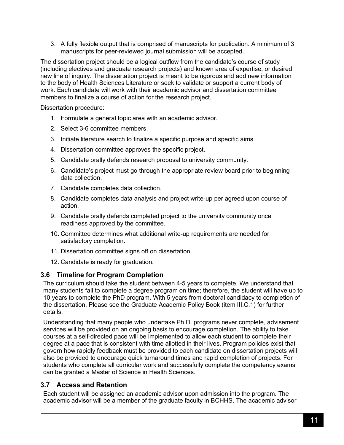3. A fully flexible output that is comprised of manuscripts for publication. A minimum of 3 manuscripts for peer-reviewed journal submission will be accepted.

The dissertation project should be a logical outflow from the candidate's course of study (including electives and graduate research projects) and known area of expertise, or desired new line of inquiry. The dissertation project is meant to be rigorous and add new information to the body of Health Sciences Literature or seek to validate or support a current body of work. Each candidate will work with their academic advisor and dissertation committee members to finalize a course of action for the research project.

Dissertation procedure:

- 1. Formulate a general topic area with an academic advisor.
- 2. Select 3-6 committee members.
- 3. Initiate literature search to finalize a specific purpose and specific aims.
- 4. Dissertation committee approves the specific project.
- 5. Candidate orally defends research proposal to university community.
- 6. Candidate's project must go through the appropriate review board prior to beginning data collection.
- 7. Candidate completes data collection.
- 8. Candidate completes data analysis and project write-up per agreed upon course of action.
- 9. Candidate orally defends completed project to the university community once readiness approved by the committee.
- 10. Committee determines what additional write-up requirements are needed for satisfactory completion.
- 11. Dissertation committee signs off on dissertation
- 12. Candidate is ready for graduation.

#### **3.6 Timeline for Program Completion**

The curriculum should take the student between 4-5 years to complete. We understand that many students fail to complete a degree program on time; therefore, the student will have up to 10 years to complete the PhD program. With 5 years from doctoral candidacy to completion of the dissertation. Please see the Graduate Academic Policy Book (item III.C.1) for further details.

Understanding that many people who undertake Ph.D. programs never complete, advisement services will be provided on an ongoing basis to encourage completion. The ability to take courses at a self-directed pace will be implemented to allow each student to complete their degree at a pace that is consistent with time allotted in their lives. Program policies exist that govern how rapidly feedback must be provided to each candidate on dissertation projects will also be provided to encourage quick turnaround times and rapid completion of projects. For students who complete all curricular work and successfully complete the competency exams can be granted a Master of Science in Health Sciences.

# **3.7 Access and Retention**

Each student will be assigned an academic advisor upon admission into the program. The academic advisor will be a member of the graduate faculty in BCHHS. The academic advisor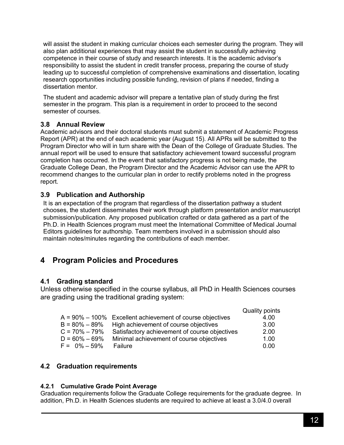will assist the student in making curricular choices each semester during the program. They will also plan additional experiences that may assist the student in successfully achieving competence in their course of study and research interests. It is the academic advisor's responsibility to assist the student in credit transfer process, preparing the course of study leading up to successful completion of comprehensive examinations and dissertation, locating research opportunities including possible funding, revision of plans if needed, finding a dissertation mentor.

The student and academic advisor will prepare a tentative plan of study during the first semester in the program. This plan is a requirement in order to proceed to the second semester of courses.

#### **3.8 Annual Review**

Academic advisors and their doctoral students must submit a statement of Academic Progress Report (APR) at the end of each academic year (August 15). All APRs will be submitted to the Program Director who will in turn share with the Dean of the College of Graduate Studies. The annual report will be used to ensure that satisfactory achievement toward successful program completion has occurred. In the event that satisfactory progress is not being made, the Graduate College Dean, the Program Director and the Academic Advisor can use the APR to recommend changes to the curricular plan in order to rectify problems noted in the progress report.

#### **3.9 Publication and Authorship**

It is an expectation of the program that regardless of the dissertation pathway a student chooses, the student disseminates their work through platform presentation and/or manuscript submission/publication. Any proposed publication crafted or data gathered as a part of the Ph.D. in Health Sciences program must meet the International Committee of Medical Journal Editors guidelines for authorship. Team members involved in a submission should also maintain notes/minutes regarding the contributions of each member.

# **4 Program Policies and Procedures**

# **4.1 Grading standard**

Unless otherwise specified in the course syllabus, all PhD in Health Sciences courses are grading using the traditional grading system:

|                   |                                                               | Quality points |
|-------------------|---------------------------------------------------------------|----------------|
|                   | $A = 90\% - 100\%$ Excellent achievement of course objectives | 4.00           |
| B = 80% – 89%     | High achievement of course objectives                         | 3.00           |
| $C = 70\% - 79\%$ | Satisfactory achievement of course objectives                 | 2.00           |
| $D = 60\% - 69\%$ | Minimal achievement of course objectives                      | 1.00           |
| $F = 0\% - 59\%$  | Failure                                                       | 0.00           |

# **4.2 Graduation requirements**

#### **4.2.1 Cumulative Grade Point Average**

Graduation requirements follow the Graduate College requirements for the graduate degree. In addition, Ph.D. in Health Sciences students are required to achieve at least a 3.0/4.0 overall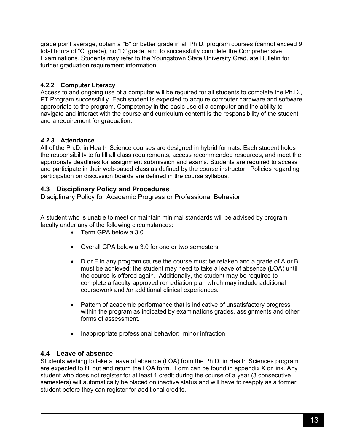grade point average, obtain a "B" or better grade in all Ph.D. program courses (cannot exceed 9 total hours of "C" grade), no "D" grade, and to successfully complete the Comprehensive Examinations. Students may refer to the Youngstown State University Graduate Bulletin for further graduation requirement information.

# **4.2.2 Computer Literacy**

Access to and ongoing use of a computer will be required for all students to complete the Ph.D., PT Program successfully. Each student is expected to acquire computer hardware and software appropriate to the program. Competency in the basic use of a computer and the ability to navigate and interact with the course and curriculum content is the responsibility of the student and a requirement for graduation.

# *4.2.3* **Attendance**

All of the Ph.D. in Health Science courses are designed in hybrid formats. Each student holds the responsibility to fulfill all class requirements, access recommended resources, and meet the appropriate deadlines for assignment submission and exams. Students are required to access and participate in their web-based class as defined by the course instructor. Policies regarding participation on discussion boards are defined in the course syllabus.

# **4.3 Disciplinary Policy and Procedures**

Disciplinary Policy for Academic Progress or Professional Behavior

A student who is unable to meet or maintain minimal standards will be advised by program faculty under any of the following circumstances:

- Term GPA below a 3.0
- Overall GPA below a 3.0 for one or two semesters
- D or F in any program course the course must be retaken and a grade of A or B must be achieved; the student may need to take a leave of absence (LOA) until the course is offered again. Additionally, the student may be required to complete a faculty approved remediation plan which may include additional coursework and /or additional clinical experiences.
- Pattern of academic performance that is indicative of unsatisfactory progress within the program as indicated by examinations grades, assignments and other forms of assessment.
- Inappropriate professional behavior: minor infraction

# **4.4 Leave of absence**

Students wishing to take a leave of absence (LOA) from the Ph.D. in Health Sciences program are expected to fill out and return the LOA form. Form can be found in appendix X or link. Any student who does not register for at least 1 credit during the course of a year (3 consecutive semesters) will automatically be placed on inactive status and will have to reapply as a former student before they can register for additional credits.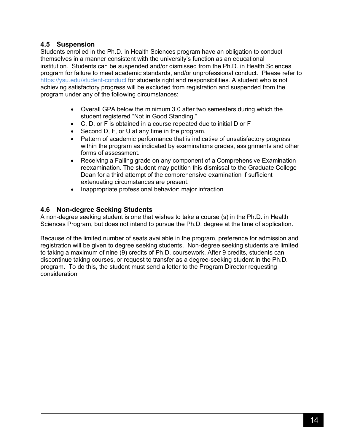### **4.5 Suspension**

Students enrolled in the Ph.D. in Health Sciences program have an obligation to conduct themselves in a manner consistent with the university's function as an educational institution. Students can be suspended and/or dismissed from the Ph.D. in Health Sciences program for failure to meet academic standards, and/or unprofessional conduct. Please refer to https://ysu.edu/student-conduct for students right and responsibilities. A student who is not achieving satisfactory progress will be excluded from registration and suspended from the program under any of the following circumstances:

- Overall GPA below the minimum 3.0 after two semesters during which the student registered "Not in Good Standing."
- C, D, or F is obtained in a course repeated due to initial D or F
- Second D, F, or U at any time in the program.
- Pattern of academic performance that is indicative of unsatisfactory progress within the program as indicated by examinations grades, assignments and other forms of assessment.
- Receiving a Failing grade on any component of a Comprehensive Examination reexamination. The student may petition this dismissal to the Graduate College Dean for a third attempt of the comprehensive examination if sufficient extenuating circumstances are present.
- Inappropriate professional behavior: major infraction

# **4.6 Non-degree Seeking Students**

A non-degree seeking student is one that wishes to take a course (s) in the Ph.D. in Health Sciences Program, but does not intend to pursue the Ph.D. degree at the time of application.

Because of the limited number of seats available in the program, preference for admission and registration will be given to degree seeking students. Non-degree seeking students are limited to taking a maximum of nine (9) credits of Ph.D. coursework. After 9 credits, students can discontinue taking courses, or request to transfer as a degree-seeking student in the Ph.D. program. To do this, the student must send a letter to the Program Director requesting consideration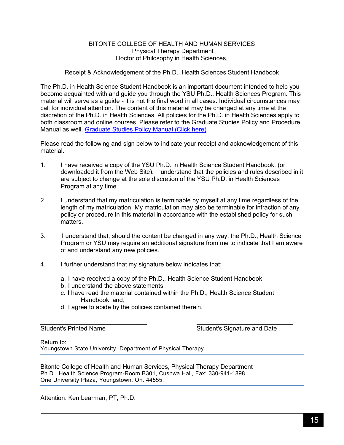#### BITONTE COLLEGE OF HEALTH AND HUMAN SERVICES Physical Therapy Department Doctor of Philosophy in Health Sciences,

Receipt & Acknowledgement of the Ph.D., Health Sciences Student Handbook

The Ph.D. in Health Science Student Handbook is an important document intended to help you become acquainted with and guide you through the YSU Ph.D., Health Sciences Program. This material will serve as a quide - it is not the final word in all cases. Individual circumstances may call for individual attention. The content of this material may be changed at any time at the discretion of the Ph.D. in Health Sciences. All policies for the Ph.D. in Health Sciences apply to both classroom and online courses. Please refer to the Graduate Studies Policy and Procedure Manual as well. Graduate Studies Policy Manual (Click here)

Please read the following and sign below to indicate your receipt and acknowledgement of this material.

- 1. I have received a copy of the YSU Ph.D. in Health Science Student Handbook. (or downloaded it from the Web Site). I understand that the policies and rules described in it are subject to change at the sole discretion of the YSU Ph.D. in Health Sciences Program at any time.
- 2. I understand that my matriculation is terminable by myself at any time regardless of the length of my matriculation. My matriculation may also be terminable for infraction of any policy or procedure in this material in accordance with the established policy for such matters.
- 3. I understand that, should the content be changed in any way, the Ph.D., Health Science Program or YSU may require an additional signature from me to indicate that I am aware of and understand any new policies.
- 4. I further understand that my signature below indicates that:
	- a. I have received a copy of the Ph.D., Health Science Student Handbook
	- b. I understand the above statements
	- c. I have read the material contained within the Ph.D., Health Science Student Handbook, and,

 $\frac{1}{2}$  ,  $\frac{1}{2}$  ,  $\frac{1}{2}$  ,  $\frac{1}{2}$  ,  $\frac{1}{2}$  ,  $\frac{1}{2}$  ,  $\frac{1}{2}$  ,  $\frac{1}{2}$  ,  $\frac{1}{2}$  ,  $\frac{1}{2}$  ,  $\frac{1}{2}$  ,  $\frac{1}{2}$  ,  $\frac{1}{2}$  ,  $\frac{1}{2}$  ,  $\frac{1}{2}$  ,  $\frac{1}{2}$  ,  $\frac{1}{2}$  ,  $\frac{1}{2}$  ,  $\frac{1$ 

d. I agree to abide by the policies contained therein.

Student's Printed Name Student's Signature and Date

Return to: Youngstown State University, Department of Physical Therapy

Bitonte College of Health and Human Services, Physical Therapy Department Ph.D., Health Science Program-Room B301, Cushwa Hall, Fax: 330-941-1898 One University Plaza, Youngstown, Oh. 44555.

Attention: Ken Learman, PT, Ph.D.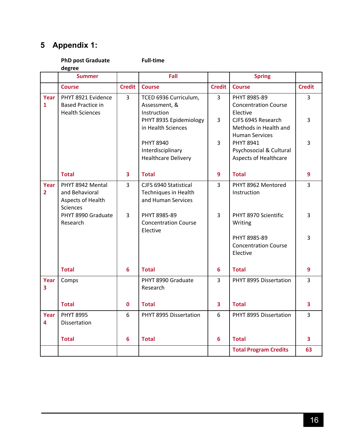# **5 Appendix 1:**

|                        | <b>PhD post Graduate</b><br>degree                                         |                | <b>Full-time</b>                                                           |               |                                                                      |                |
|------------------------|----------------------------------------------------------------------------|----------------|----------------------------------------------------------------------------|---------------|----------------------------------------------------------------------|----------------|
|                        | <b>Summer</b>                                                              |                | Fall                                                                       |               | <b>Spring</b>                                                        |                |
|                        | <b>Course</b>                                                              | <b>Credit</b>  | <b>Course</b>                                                              | <b>Credit</b> | <b>Course</b>                                                        | <b>Credit</b>  |
| Year<br>$\mathbf{1}$   | PHYT 8921 Evidence<br><b>Based Practice in</b><br><b>Health Sciences</b>   | $\mathsf{3}$   | TCED 6936 Curriculum,<br>Assessment, &<br>Instruction                      | 3             | PHYT 8985-89<br><b>Concentration Course</b><br>Elective              | $\overline{3}$ |
|                        |                                                                            |                | PHYT 8935 Epidemiology<br>in Health Sciences                               | 3             | CJFS 6945 Research<br>Methods in Health and<br><b>Human Services</b> | 3              |
|                        |                                                                            |                | <b>PHYT 8940</b><br>Interdisciplinary<br><b>Healthcare Delivery</b>        | 3             | <b>PHYT 8941</b><br>Psychosocial & Cultural<br>Aspects of Healthcare | 3              |
|                        | <b>Total</b>                                                               | 3              | <b>Total</b>                                                               | 9             | <b>Total</b>                                                         | 9              |
| Year<br>$\overline{2}$ | PHYT 8942 Mental<br>and Behavioral<br>Aspects of Health<br><b>Sciences</b> | $\overline{3}$ | CJFS 6940 Statistical<br><b>Techniques in Health</b><br>and Human Services | 3             | PHYT 8962 Mentored<br>Instruction                                    | 3              |
|                        | PHYT 8990 Graduate<br>Research                                             | 3              | PHYT 8985-89<br><b>Concentration Course</b><br>Elective                    | 3             | PHYT 8970 Scientific<br>Writing                                      | 3              |
|                        |                                                                            |                |                                                                            |               | PHYT 8985-89<br><b>Concentration Course</b><br>Elective              | 3              |
|                        | <b>Total</b>                                                               | 6              | <b>Total</b>                                                               | 6             | <b>Total</b>                                                         | 9              |
| Year<br>3              | Comps                                                                      |                | PHYT 8990 Graduate<br>Research                                             | 3             | PHYT 8995 Dissertation                                               | 3              |
|                        | <b>Total</b>                                                               | 0              | <b>Total</b>                                                               | 3             | <b>Total</b>                                                         | 3              |
| Year<br>4              | <b>PHYT 8995</b><br>Dissertation                                           | 6              | PHYT 8995 Dissertation                                                     | 6             | PHYT 8995 Dissertation                                               | 3              |
|                        | <b>Total</b>                                                               | 6              | <b>Total</b>                                                               | 6             | <b>Total</b>                                                         | 3              |
|                        |                                                                            |                |                                                                            |               | <b>Total Program Credits</b>                                         | 63             |